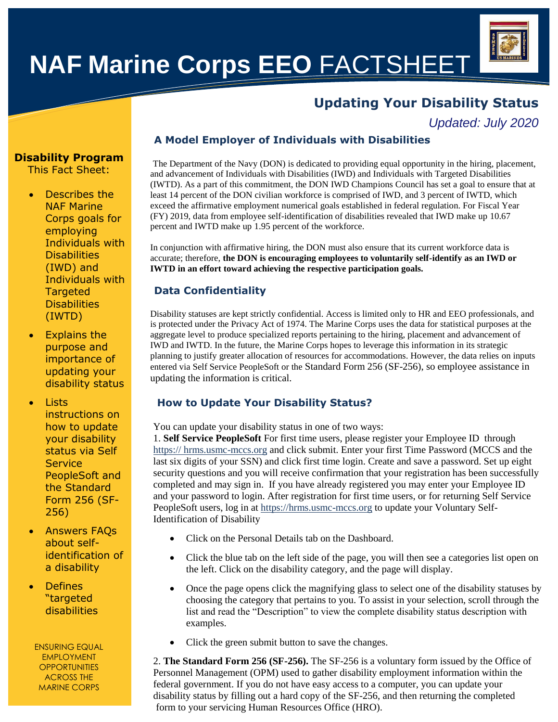# **NAF Marine Corps EEO** FACTSHEET

# **Updating Your Disability Status**

*Updated: July 2020*

# **Disability Program**

This Fact Sheet:

- Describes the NAF Marine Corps goals for employing Individuals with **Disabilities** (IWD) and Individuals with **Targeted Disabilities** (IWTD)
- Explains the purpose and importance of updating your disability status

**Lists** instructions on how to update your disability status via Self **Service** PeopleSoft and the Standard Form 256 (SF-256)

 Answers FAQs about selfidentification of a disability

**Defines** "targeted disabilities

ENSURING EQUAL EMPLOYMENT **OPPORTUNITIES** ACROSS THE MARINE CORPS

# **A Model Employer of Individuals with Disabilities**

The Department of the Navy (DON) is dedicated to providing equal opportunity in the hiring, placement, and advancement of Individuals with Disabilities (IWD) and Individuals with Targeted Disabilities (IWTD). As a part of this commitment, the DON IWD Champions Council has set a goal to ensure that at least 14 percent of the DON civilian workforce is comprised of IWD, and 3 percent of IWTD, which exceed the affirmative employment numerical goals established in federal regulation. For Fiscal Year (FY) 2019, data from employee self-identification of disabilities revealed that IWD make up 10.67 percent and IWTD make up 1.95 percent of the workforce.

In conjunction with affirmative hiring, the DON must also ensure that its current workforce data is accurate; therefore, **the DON is encouraging employees to voluntarily self-identify as an IWD or IWTD in an effort toward achieving the respective participation goals.**

# **Data Confidentiality**

Disability statuses are kept strictly confidential. Access is limited only to HR and EEO professionals, and is protected under the Privacy Act of 1974. The Marine Corps uses the data for statistical purposes at the aggregate level to produce specialized reports pertaining to the hiring, placement and advancement of IWD and IWTD. In the future, the Marine Corps hopes to leverage this information in its strategic planning to justify greater allocation of resources for accommodations. However, the data relies on inputs entered via Self Service PeopleSoft or the Standard Form 256 (SF-256), so employee assistance in updating the information is critical.

# **How to Update Your Disability Status?**

You can update your disability status in one of two ways:

1. **Self Service PeopleSoft** For first time users, please register your Employee ID through https:// hrms.usmc-mccs.org and click submit. Enter your first Time Password (MCCS and the last six digits of your SSN) and click first time login. Create and save a password. Set up eight security questions and you will receive confirmation that your registration has been successfully completed and may sign in. If you have already registered you may enter your Employee ID and your password to login. After registration for first time users, or for returning Self Service PeopleSoft users, log in at https://hrms.usmc-mccs.org to update your Voluntary Self-Identification of Disability

- Click on the Personal Details tab on the Dashboard.
- Click the blue tab on the left side of the page, you will then see a categories list open on the left. Click on the disability category, and the page will display.
- Once the page opens click the magnifying glass to select one of the disability statuses by choosing the category that pertains to you. To assist in your selection, scroll through the list and read the "Description" to view the complete disability status description with examples.
- Click the green submit button to save the changes.

2. **The Standard Form 256 (SF-256).** The SF-256 is a voluntary form issued by the Office of Personnel Management (OPM) used to gather disability employment information within the federal government. If you do not have easy access to a computer, you can update your disability status by filling out a hard copy of the SF-256, and then returning the completed form to your servicing Human Resources Office (HRO).